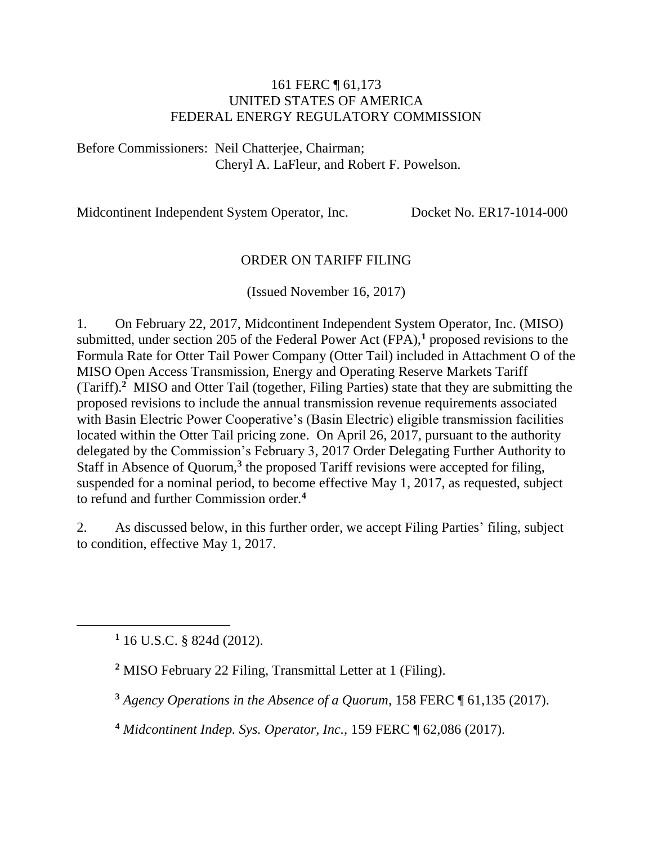#### 161 FERC ¶ 61,173 UNITED STATES OF AMERICA FEDERAL ENERGY REGULATORY COMMISSION

Before Commissioners: Neil Chatterjee, Chairman; Cheryl A. LaFleur, and Robert F. Powelson.

Midcontinent Independent System Operator, Inc. Docket No. ER17-1014-000

#### ORDER ON TARIFF FILING

(Issued November 16, 2017)

1. On February 22, 2017, Midcontinent Independent System Operator, Inc. (MISO) submitted, under section 205 of the Federal Power Act (FPA),**<sup>1</sup>** proposed revisions to the Formula Rate for Otter Tail Power Company (Otter Tail) included in Attachment O of the MISO Open Access Transmission, Energy and Operating Reserve Markets Tariff (Tariff). **2** MISO and Otter Tail (together, Filing Parties) state that they are submitting the proposed revisions to include the annual transmission revenue requirements associated with Basin Electric Power Cooperative's (Basin Electric) eligible transmission facilities located within the Otter Tail pricing zone. On April 26, 2017, pursuant to the authority delegated by the Commission's February 3, 2017 Order Delegating Further Authority to Staff in Absence of Quorum,**<sup>3</sup>** the proposed Tariff revisions were accepted for filing, suspended for a nominal period, to become effective May 1, 2017, as requested, subject to refund and further Commission order.**<sup>4</sup>**

2. As discussed below, in this further order, we accept Filing Parties' filing, subject to condition, effective May 1, 2017.

**<sup>1</sup>** 16 U.S.C. § 824d (2012).

**<sup>2</sup>** MISO February 22 Filing, Transmittal Letter at 1 (Filing).

**<sup>3</sup>** *Agency Operations in the Absence of a Quorum*, 158 FERC ¶ 61,135 (2017).

**<sup>4</sup>** *Midcontinent Indep. Sys. Operator, Inc.*, 159 FERC ¶ 62,086 (2017).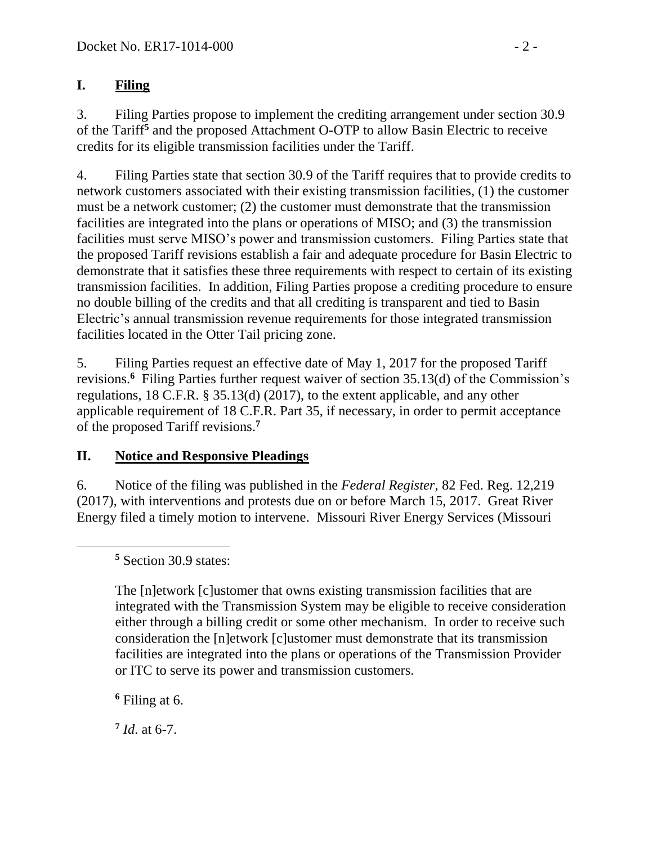#### **I. Filing**

3. Filing Parties propose to implement the crediting arrangement under section 30.9 of the Tariff**<sup>5</sup>** and the proposed Attachment O-OTP to allow Basin Electric to receive credits for its eligible transmission facilities under the Tariff.

4. Filing Parties state that section 30.9 of the Tariff requires that to provide credits to network customers associated with their existing transmission facilities, (1) the customer must be a network customer; (2) the customer must demonstrate that the transmission facilities are integrated into the plans or operations of MISO; and (3) the transmission facilities must serve MISO's power and transmission customers. Filing Parties state that the proposed Tariff revisions establish a fair and adequate procedure for Basin Electric to demonstrate that it satisfies these three requirements with respect to certain of its existing transmission facilities. In addition, Filing Parties propose a crediting procedure to ensure no double billing of the credits and that all crediting is transparent and tied to Basin Electric's annual transmission revenue requirements for those integrated transmission facilities located in the Otter Tail pricing zone.

5. Filing Parties request an effective date of May 1, 2017 for the proposed Tariff revisions.<sup>6</sup> Filing Parties further request waiver of section 35.13(d) of the Commission's regulations, 18 C.F.R. § 35.13(d) (2017), to the extent applicable, and any other applicable requirement of 18 C.F.R. Part 35, if necessary, in order to permit acceptance of the proposed Tariff revisions. **7**

# **II. Notice and Responsive Pleadings**

6. Notice of the filing was published in the *Federal Register*, 82 Fed. Reg. 12,219 (2017), with interventions and protests due on or before March 15, 2017. Great River Energy filed a timely motion to intervene. Missouri River Energy Services (Missouri

**<sup>5</sup>** Section 30.9 states:

The [n]etwork [c]ustomer that owns existing transmission facilities that are integrated with the Transmission System may be eligible to receive consideration either through a billing credit or some other mechanism. In order to receive such consideration the [n]etwork [c]ustomer must demonstrate that its transmission facilities are integrated into the plans or operations of the Transmission Provider or ITC to serve its power and transmission customers.

**<sup>6</sup>** Filing at 6.

**7** *Id*. at 6-7.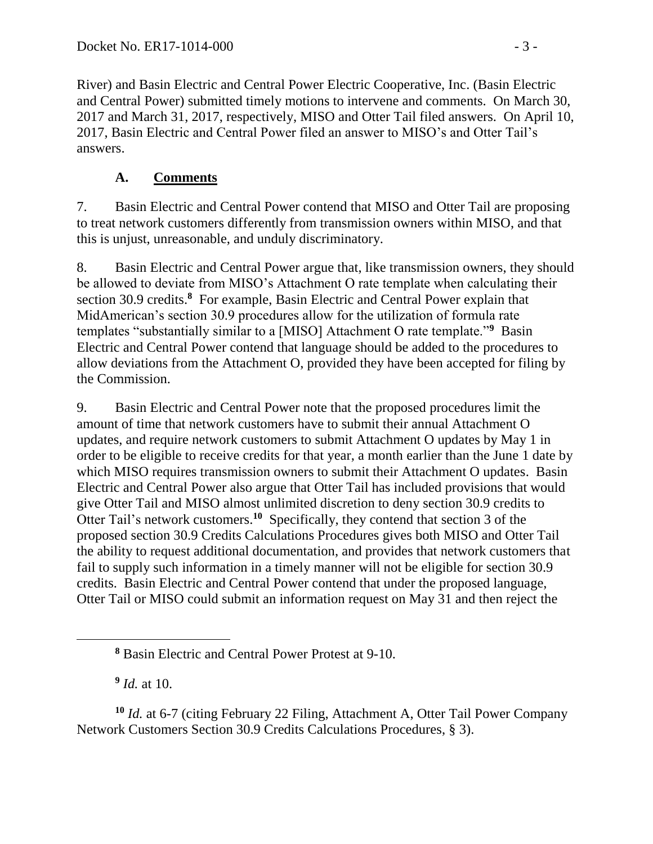River) and Basin Electric and Central Power Electric Cooperative, Inc. (Basin Electric and Central Power) submitted timely motions to intervene and comments. On March 30, 2017 and March 31, 2017, respectively, MISO and Otter Tail filed answers. On April 10, 2017, Basin Electric and Central Power filed an answer to MISO's and Otter Tail's answers.

#### **A. Comments**

7. Basin Electric and Central Power contend that MISO and Otter Tail are proposing to treat network customers differently from transmission owners within MISO, and that this is unjust, unreasonable, and unduly discriminatory.

8. Basin Electric and Central Power argue that, like transmission owners, they should be allowed to deviate from MISO's Attachment O rate template when calculating their section 30.9 credits.**<sup>8</sup>** For example, Basin Electric and Central Power explain that MidAmerican's section 30.9 procedures allow for the utilization of formula rate templates "substantially similar to a [MISO] Attachment O rate template."**<sup>9</sup>** Basin Electric and Central Power contend that language should be added to the procedures to allow deviations from the Attachment O, provided they have been accepted for filing by the Commission.

9. Basin Electric and Central Power note that the proposed procedures limit the amount of time that network customers have to submit their annual Attachment O updates, and require network customers to submit Attachment O updates by May 1 in order to be eligible to receive credits for that year, a month earlier than the June 1 date by which MISO requires transmission owners to submit their Attachment O updates. Basin Electric and Central Power also argue that Otter Tail has included provisions that would give Otter Tail and MISO almost unlimited discretion to deny section 30.9 credits to Otter Tail's network customers.<sup>10</sup> Specifically, they contend that section 3 of the proposed section 30.9 Credits Calculations Procedures gives both MISO and Otter Tail the ability to request additional documentation, and provides that network customers that fail to supply such information in a timely manner will not be eligible for section 30.9 credits. Basin Electric and Central Power contend that under the proposed language, Otter Tail or MISO could submit an information request on May 31 and then reject the

**9** *Id.* at 10.

**<sup>10</sup>** *Id.* at 6-7 (citing February 22 Filing, Attachment A, Otter Tail Power Company Network Customers Section 30.9 Credits Calculations Procedures, § 3).

**<sup>8</sup>** Basin Electric and Central Power Protest at 9-10.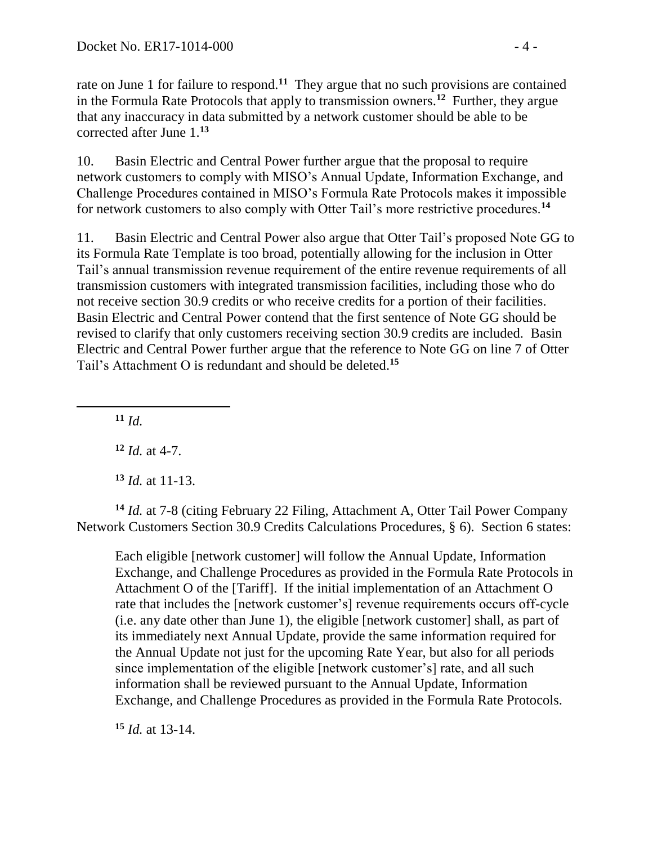rate on June 1 for failure to respond.**<sup>11</sup>** They argue that no such provisions are contained in the Formula Rate Protocols that apply to transmission owners.**<sup>12</sup>** Further, they argue that any inaccuracy in data submitted by a network customer should be able to be corrected after June 1.**<sup>13</sup>**

10. Basin Electric and Central Power further argue that the proposal to require network customers to comply with MISO's Annual Update, Information Exchange, and Challenge Procedures contained in MISO's Formula Rate Protocols makes it impossible for network customers to also comply with Otter Tail's more restrictive procedures.**<sup>14</sup>**

11. Basin Electric and Central Power also argue that Otter Tail's proposed Note GG to its Formula Rate Template is too broad, potentially allowing for the inclusion in Otter Tail's annual transmission revenue requirement of the entire revenue requirements of all transmission customers with integrated transmission facilities, including those who do not receive section 30.9 credits or who receive credits for a portion of their facilities. Basin Electric and Central Power contend that the first sentence of Note GG should be revised to clarify that only customers receiving section 30.9 credits are included. Basin Electric and Central Power further argue that the reference to Note GG on line 7 of Otter Tail's Attachment O is redundant and should be deleted. **15**

**<sup>11</sup>** *Id.*

 $\overline{a}$ 

**<sup>12</sup>** *Id.* at 4-7.

**<sup>13</sup>** *Id.* at 11-13.

**<sup>14</sup>** *Id.* at 7-8 (citing February 22 Filing, Attachment A, Otter Tail Power Company Network Customers Section 30.9 Credits Calculations Procedures, § 6). Section 6 states:

Each eligible [network customer] will follow the Annual Update, Information Exchange, and Challenge Procedures as provided in the Formula Rate Protocols in Attachment O of the [Tariff]. If the initial implementation of an Attachment O rate that includes the [network customer's] revenue requirements occurs off-cycle (i.e. any date other than June 1), the eligible [network customer] shall, as part of its immediately next Annual Update, provide the same information required for the Annual Update not just for the upcoming Rate Year, but also for all periods since implementation of the eligible [network customer's] rate, and all such information shall be reviewed pursuant to the Annual Update, Information Exchange, and Challenge Procedures as provided in the Formula Rate Protocols.

**<sup>15</sup>** *Id.* at 13-14.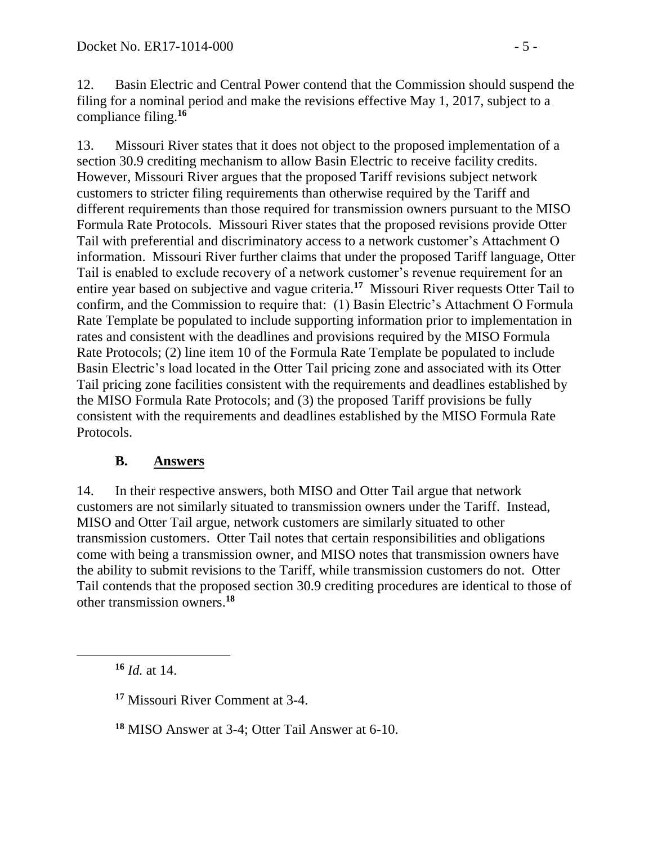12. Basin Electric and Central Power contend that the Commission should suspend the filing for a nominal period and make the revisions effective May 1, 2017, subject to a compliance filing.**<sup>16</sup>**

13. Missouri River states that it does not object to the proposed implementation of a section 30.9 crediting mechanism to allow Basin Electric to receive facility credits. However, Missouri River argues that the proposed Tariff revisions subject network customers to stricter filing requirements than otherwise required by the Tariff and different requirements than those required for transmission owners pursuant to the MISO Formula Rate Protocols. Missouri River states that the proposed revisions provide Otter Tail with preferential and discriminatory access to a network customer's Attachment O information. Missouri River further claims that under the proposed Tariff language, Otter Tail is enabled to exclude recovery of a network customer's revenue requirement for an entire year based on subjective and vague criteria.**<sup>17</sup>** Missouri River requests Otter Tail to confirm, and the Commission to require that: (1) Basin Electric's Attachment O Formula Rate Template be populated to include supporting information prior to implementation in rates and consistent with the deadlines and provisions required by the MISO Formula Rate Protocols; (2) line item 10 of the Formula Rate Template be populated to include Basin Electric's load located in the Otter Tail pricing zone and associated with its Otter Tail pricing zone facilities consistent with the requirements and deadlines established by the MISO Formula Rate Protocols; and (3) the proposed Tariff provisions be fully consistent with the requirements and deadlines established by the MISO Formula Rate Protocols.

# **B. Answers**

14. In their respective answers, both MISO and Otter Tail argue that network customers are not similarly situated to transmission owners under the Tariff. Instead, MISO and Otter Tail argue, network customers are similarly situated to other transmission customers. Otter Tail notes that certain responsibilities and obligations come with being a transmission owner, and MISO notes that transmission owners have the ability to submit revisions to the Tariff, while transmission customers do not. Otter Tail contends that the proposed section 30.9 crediting procedures are identical to those of other transmission owners.**<sup>18</sup>**

**<sup>16</sup>** *Id.* at 14.

**<sup>17</sup>** Missouri River Comment at 3-4.

**<sup>18</sup>** MISO Answer at 3-4; Otter Tail Answer at 6-10.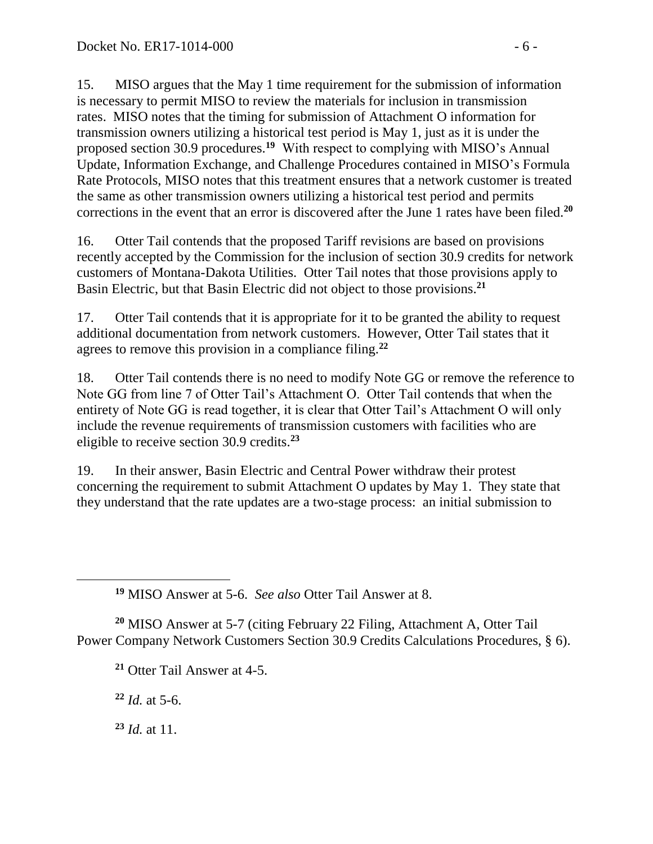15. MISO argues that the May 1 time requirement for the submission of information is necessary to permit MISO to review the materials for inclusion in transmission rates. MISO notes that the timing for submission of Attachment O information for transmission owners utilizing a historical test period is May 1, just as it is under the proposed section 30.9 procedures.**<sup>19</sup>** With respect to complying with MISO's Annual Update, Information Exchange, and Challenge Procedures contained in MISO's Formula Rate Protocols, MISO notes that this treatment ensures that a network customer is treated the same as other transmission owners utilizing a historical test period and permits corrections in the event that an error is discovered after the June 1 rates have been filed.**<sup>20</sup>**

16. Otter Tail contends that the proposed Tariff revisions are based on provisions recently accepted by the Commission for the inclusion of section 30.9 credits for network customers of Montana-Dakota Utilities. Otter Tail notes that those provisions apply to Basin Electric, but that Basin Electric did not object to those provisions.**<sup>21</sup>**

17. Otter Tail contends that it is appropriate for it to be granted the ability to request additional documentation from network customers. However, Otter Tail states that it agrees to remove this provision in a compliance filing.**<sup>22</sup>**

18. Otter Tail contends there is no need to modify Note GG or remove the reference to Note GG from line 7 of Otter Tail's Attachment O. Otter Tail contends that when the entirety of Note GG is read together, it is clear that Otter Tail's Attachment O will only include the revenue requirements of transmission customers with facilities who are eligible to receive section 30.9 credits.**<sup>23</sup>**

19. In their answer, Basin Electric and Central Power withdraw their protest concerning the requirement to submit Attachment O updates by May 1. They state that they understand that the rate updates are a two-stage process: an initial submission to

**<sup>19</sup>** MISO Answer at 5-6. *See also* Otter Tail Answer at 8.

**<sup>20</sup>** MISO Answer at 5-7 (citing February 22 Filing, Attachment A, Otter Tail Power Company Network Customers Section 30.9 Credits Calculations Procedures, § 6).

**<sup>21</sup>** Otter Tail Answer at 4-5.

**<sup>22</sup>** *Id.* at 5-6.

**<sup>23</sup>** *Id.* at 11.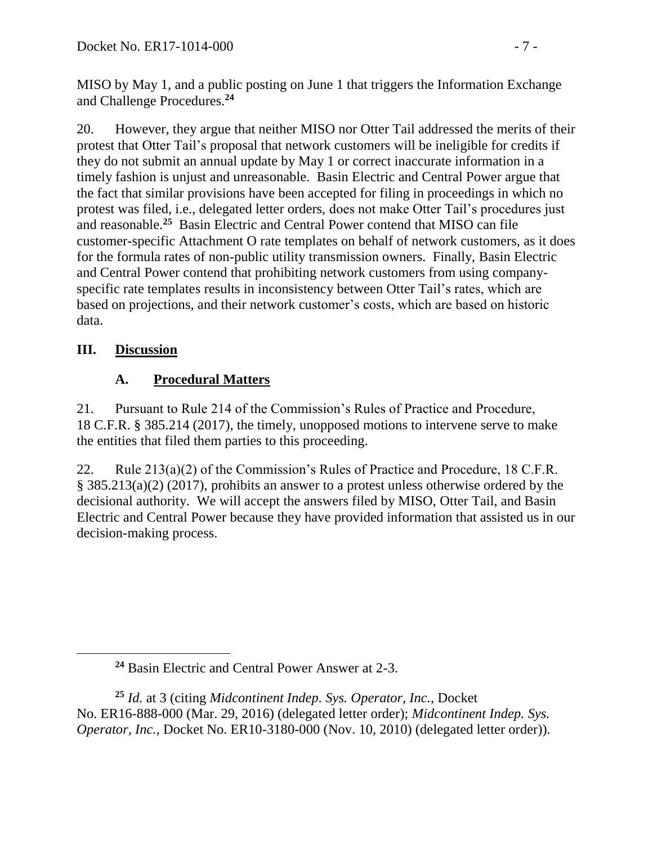MISO by May 1, and a public posting on June 1 that triggers the Information Exchange and Challenge Procedures.**<sup>24</sup>**

20. However, they argue that neither MISO nor Otter Tail addressed the merits of their protest that Otter Tail's proposal that network customers will be ineligible for credits if they do not submit an annual update by May 1 or correct inaccurate information in a timely fashion is unjust and unreasonable. Basin Electric and Central Power argue that the fact that similar provisions have been accepted for filing in proceedings in which no protest was filed, i.e., delegated letter orders, does not make Otter Tail's procedures just and reasonable.**<sup>25</sup>** Basin Electric and Central Power contend that MISO can file customer-specific Attachment O rate templates on behalf of network customers, as it does for the formula rates of non-public utility transmission owners. Finally, Basin Electric and Central Power contend that prohibiting network customers from using companyspecific rate templates results in inconsistency between Otter Tail's rates, which are based on projections, and their network customer's costs, which are based on historic data.

# **III. Discussion**

 $\overline{a}$ 

# **A. Procedural Matters**

21. Pursuant to Rule 214 of the Commission's Rules of Practice and Procedure, 18 C.F.R. § 385.214 (2017), the timely, unopposed motions to intervene serve to make the entities that filed them parties to this proceeding.

22. Rule 213(a)(2) of the Commission's Rules of Practice and Procedure, 18 C.F.R. § 385.213(a)(2) (2017), prohibits an answer to a protest unless otherwise ordered by the decisional authority. We will accept the answers filed by MISO, Otter Tail, and Basin Electric and Central Power because they have provided information that assisted us in our decision-making process.

**<sup>24</sup>** Basin Electric and Central Power Answer at 2-3.

**<sup>25</sup>** *Id.* at 3 (citing *Midcontinent Indep. Sys. Operator, Inc.*, Docket No. ER16-888-000 (Mar. 29, 2016) (delegated letter order); *Midcontinent Indep. Sys. Operator, Inc.*, Docket No. ER10-3180-000 (Nov. 10, 2010) (delegated letter order)).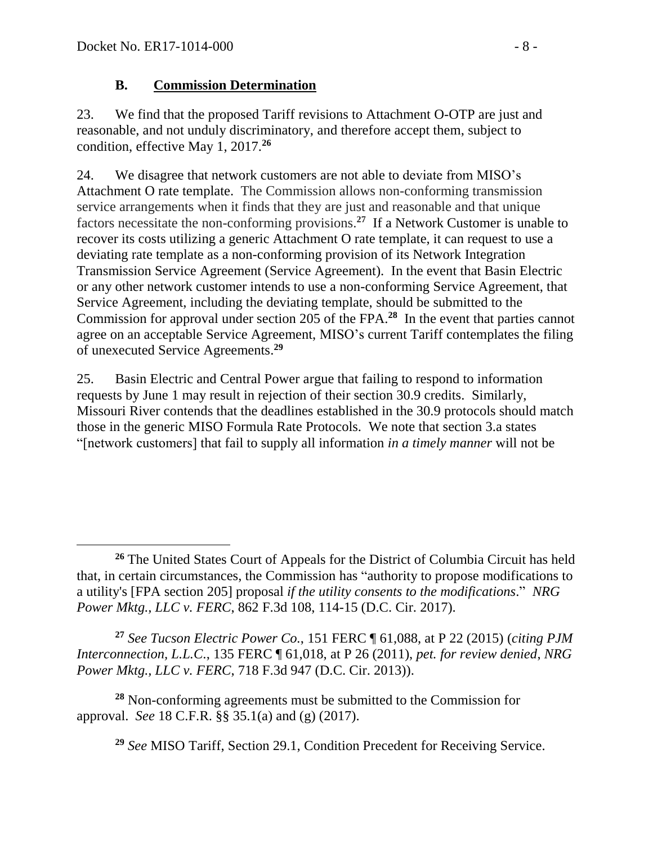#### **B. Commission Determination**

23. We find that the proposed Tariff revisions to Attachment O-OTP are just and reasonable, and not unduly discriminatory, and therefore accept them, subject to condition, effective May 1, 2017. **26**

24. We disagree that network customers are not able to deviate from MISO's Attachment O rate template. The Commission allows non-conforming transmission service arrangements when it finds that they are just and reasonable and that unique factors necessitate the non-conforming provisions.**<sup>27</sup>** If a Network Customer is unable to recover its costs utilizing a generic Attachment O rate template, it can request to use a deviating rate template as a non-conforming provision of its Network Integration Transmission Service Agreement (Service Agreement). In the event that Basin Electric or any other network customer intends to use a non-conforming Service Agreement, that Service Agreement, including the deviating template, should be submitted to the Commission for approval under section 205 of the FPA.**<sup>28</sup>** In the event that parties cannot agree on an acceptable Service Agreement, MISO's current Tariff contemplates the filing of unexecuted Service Agreements. **29**

25. Basin Electric and Central Power argue that failing to respond to information requests by June 1 may result in rejection of their section 30.9 credits. Similarly, Missouri River contends that the deadlines established in the 30.9 protocols should match those in the generic MISO Formula Rate Protocols. We note that section 3.a states "[network customers] that fail to supply all information *in a timely manner* will not be

**<sup>27</sup>** *See Tucson Electric Power Co.*, 151 FERC ¶ 61,088, at P 22 (2015) (*citing PJM Interconnection, L.L.C*., 135 FERC ¶ 61,018, at P 26 (2011), *pet. for review denied*, *NRG Power Mktg., LLC v. FERC*, 718 F.3d 947 (D.C. Cir. 2013)).

**<sup>28</sup>** Non-conforming agreements must be submitted to the Commission for approval. *See* 18 C.F.R. §§ 35.1(a) and (g) (2017).

**<sup>29</sup>** *See* MISO Tariff, Section 29.1, Condition Precedent for Receiving Service.

 **<sup>26</sup>** The United States Court of Appeals for the District of Columbia Circuit has held that, in certain circumstances, the Commission has "authority to propose modifications to a utility's [FPA section 205] proposal *if the utility consents to the modifications*." *NRG Power Mktg., LLC v. FERC*, 862 F.3d 108, 114-15 (D.C. Cir. 2017).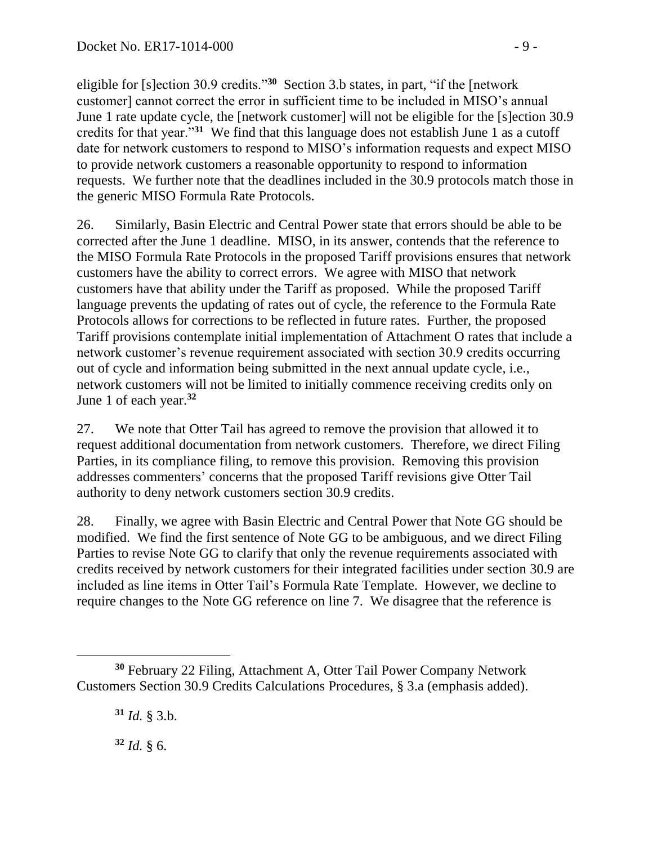eligible for [s]ection 30.9 credits."**<sup>30</sup>** Section 3.b states, in part, "if the [network customer] cannot correct the error in sufficient time to be included in MISO's annual June 1 rate update cycle, the [network customer] will not be eligible for the [s]ection 30.9 credits for that year."**<sup>31</sup>** We find that this language does not establish June 1 as a cutoff date for network customers to respond to MISO's information requests and expect MISO to provide network customers a reasonable opportunity to respond to information requests. We further note that the deadlines included in the 30.9 protocols match those in the generic MISO Formula Rate Protocols.

26. Similarly, Basin Electric and Central Power state that errors should be able to be corrected after the June 1 deadline. MISO, in its answer, contends that the reference to the MISO Formula Rate Protocols in the proposed Tariff provisions ensures that network customers have the ability to correct errors. We agree with MISO that network customers have that ability under the Tariff as proposed. While the proposed Tariff language prevents the updating of rates out of cycle, the reference to the Formula Rate Protocols allows for corrections to be reflected in future rates. Further, the proposed Tariff provisions contemplate initial implementation of Attachment O rates that include a network customer's revenue requirement associated with section 30.9 credits occurring out of cycle and information being submitted in the next annual update cycle, i.e., network customers will not be limited to initially commence receiving credits only on June 1 of each year. **32**

27. We note that Otter Tail has agreed to remove the provision that allowed it to request additional documentation from network customers. Therefore, we direct Filing Parties, in its compliance filing, to remove this provision. Removing this provision addresses commenters' concerns that the proposed Tariff revisions give Otter Tail authority to deny network customers section 30.9 credits.

28. Finally, we agree with Basin Electric and Central Power that Note GG should be modified. We find the first sentence of Note GG to be ambiguous, and we direct Filing Parties to revise Note GG to clarify that only the revenue requirements associated with credits received by network customers for their integrated facilities under section 30.9 are included as line items in Otter Tail's Formula Rate Template. However, we decline to require changes to the Note GG reference on line 7. We disagree that the reference is

**<sup>31</sup>** *Id.* § 3.b.

**<sup>32</sup>** *Id.* § 6.

**<sup>30</sup>** February 22 Filing, Attachment A, Otter Tail Power Company Network Customers Section 30.9 Credits Calculations Procedures, § 3.a (emphasis added).